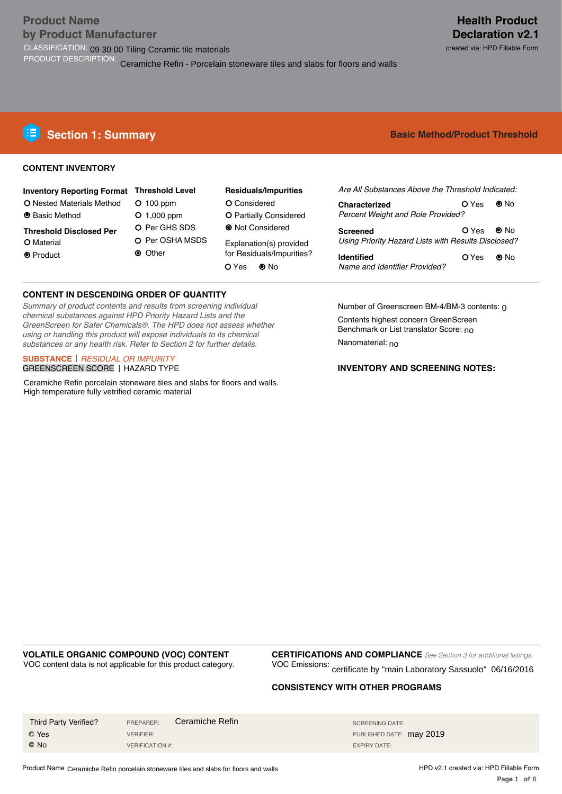#### created via: HPD Fillable Form

### **CONTENT INVENTORY**

| <b>Inventory Reporting Format Threshold Level</b> |                 | <b>Residuals/Impurities</b> |
|---------------------------------------------------|-----------------|-----------------------------|
| O Nested Materials Method                         | $O$ 100 ppm     | O Considered                |
| <b>O</b> Basic Method                             | $O$ 1,000 ppm   | O Partially Considered      |
| <b>Threshold Disclosed Per</b>                    | O Per GHS SDS   | • Not Considered            |
| O Material                                        | O Per OSHA MSDS | Explanation(s) provided     |
| <b>O</b> Product                                  | <b>◎</b> Other  | for Residuals/Impurities?   |
|                                                   |                 | $\odot$ No<br>O Yes         |

#### **CONTENT IN DESCENDING ORDER OF QUANTITY**

*Summary of product contents and results from screening individual chemical substances against HPD Priority Hazard Lists and the GreenScreen for Safer Chemicals®. The HPD does not assess whether using or handling this product will expose individuals to its chemical substances or any health risk. Refer to Section 2 for further details.* 

#### **SUBSTANCE** | *RESIDUAL OR IMPURITY* GREENSCREEN SCORE | HAZARD TYPE

Ceramiche Refin porcelain stoneware tiles and slabs for floors and walls. High temperature fully vetrified ceramic material

**Basic Method/Product Threshold** 

| Are All Substances Above the Threshold Indicated:                                     |          |      |  |  |
|---------------------------------------------------------------------------------------|----------|------|--|--|
| Characterized<br><b>Percent Weight and Role Provided?</b>                             | O Yes    | ⊚ N∩ |  |  |
| $OYes$ O No<br><b>Screened</b><br>Using Priority Hazard Lists with Results Disclosed? |          |      |  |  |
| <b>Identified</b><br>Name and Identifier Provided?                                    | OYes ●No |      |  |  |

Number of Greenscreen BM-4/BM-3 contents: 0 Contents highest concern GreenScreen Benchmark or List translator Score: <sub>no</sub> Nanomaterial: <sub>no</sub>

# **INVENTORY AND SCREENING NOTES:**

# **VOLATILE ORGANIC COMPOUND (VOC) CONTENT**

VOC content data is not applicable for this product category. 

**CERTIFICATIONS AND COMPLIANCE** *See Section 3 for additional listings.* VOC Emissions: certificate by "main Laboratory Sassuolo" 06/16/2016

### **CONSISTENCY WITH OTHER PROGRAMS**

| Third Party Verified? | PREPARER:        | Ceramiche Refin | SCREENING DATE:          |
|-----------------------|------------------|-----------------|--------------------------|
| <b>O</b> Yes          | <b>VERIFIER:</b> |                 | PUBLISHED DATE: may 2019 |
| $\odot$ No            | VERIFICATION #:  |                 | EXPIRY DATE:             |

Product Name Ceramiche Refin porcelain stoneware tiles and slabs for floors and walls

HPD v2.1 created via: HPD Fillable Form Page 1 of 6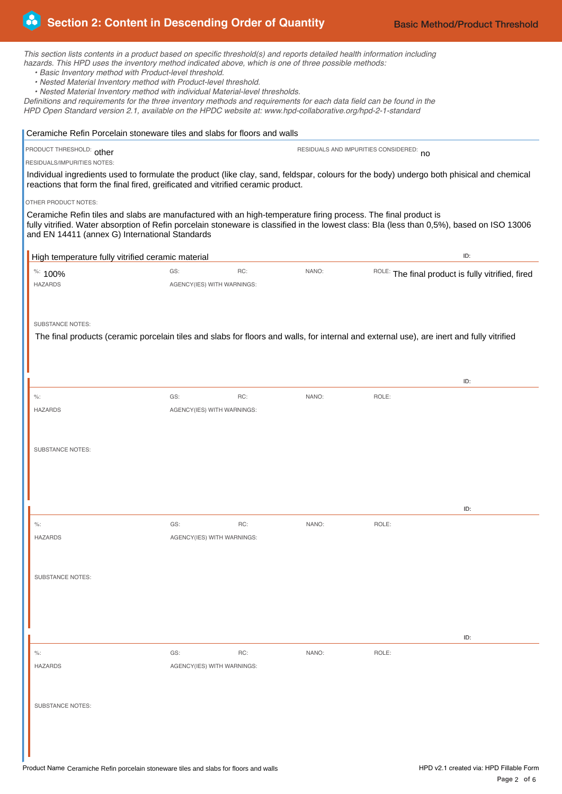| Section 2: Content in Descending Order of Quantity                                                                                                                                                                                                                                                                                                                                                                                                                                                                                                                                                                                                                                       |                                   |     |       |                                         | <b>Basic Method/Product Threshold</b>             |
|------------------------------------------------------------------------------------------------------------------------------------------------------------------------------------------------------------------------------------------------------------------------------------------------------------------------------------------------------------------------------------------------------------------------------------------------------------------------------------------------------------------------------------------------------------------------------------------------------------------------------------------------------------------------------------------|-----------------------------------|-----|-------|-----------------------------------------|---------------------------------------------------|
| This section lists contents in a product based on specific threshold(s) and reports detailed health information including<br>hazards. This HPD uses the inventory method indicated above, which is one of three possible methods:<br>. Basic Inventory method with Product-level threshold.<br>• Nested Material Inventory method with Product-level threshold.<br>• Nested Material Inventory method with individual Material-level thresholds.<br>Definitions and requirements for the three inventory methods and requirements for each data field can be found in the<br>HPD Open Standard version 2.1, available on the HPDC website at: www.hpd-collaborative.org/hpd-2-1-standard |                                   |     |       |                                         |                                                   |
| Ceramiche Refin Porcelain stoneware tiles and slabs for floors and walls                                                                                                                                                                                                                                                                                                                                                                                                                                                                                                                                                                                                                 |                                   |     |       |                                         |                                                   |
| PRODUCT THRESHOLD: other                                                                                                                                                                                                                                                                                                                                                                                                                                                                                                                                                                                                                                                                 |                                   |     |       | RESIDUALS AND IMPURITIES CONSIDERED: no |                                                   |
| RESIDUALS/IMPURITIES NOTES:                                                                                                                                                                                                                                                                                                                                                                                                                                                                                                                                                                                                                                                              |                                   |     |       |                                         |                                                   |
| Individual ingredients used to formulate the product (like clay, sand, feldspar, colours for the body) undergo both phisical and chemical<br>reactions that form the final fired, greificated and vitrified ceramic product.                                                                                                                                                                                                                                                                                                                                                                                                                                                             |                                   |     |       |                                         |                                                   |
| OTHER PRODUCT NOTES:<br>Ceramiche Refin tiles and slabs are manufactured with an high-temperature firing process. The final product is<br>fully vitrified. Water absorption of Refin porcelain stoneware is classified in the lowest class: Bla (less than 0,5%), based on ISO 13006<br>and EN 14411 (annex G) International Standards                                                                                                                                                                                                                                                                                                                                                   |                                   |     |       |                                         |                                                   |
| High temperature fully vitrified ceramic material                                                                                                                                                                                                                                                                                                                                                                                                                                                                                                                                                                                                                                        |                                   |     |       |                                         | ID:                                               |
| <sup>%:</sup> 100%                                                                                                                                                                                                                                                                                                                                                                                                                                                                                                                                                                                                                                                                       | GS:                               | RC: | NANO: |                                         | ROLE: The final product is fully vitrified, fired |
| <b>HAZARDS</b>                                                                                                                                                                                                                                                                                                                                                                                                                                                                                                                                                                                                                                                                           | AGENCY(IES) WITH WARNINGS:        |     |       |                                         |                                                   |
|                                                                                                                                                                                                                                                                                                                                                                                                                                                                                                                                                                                                                                                                                          |                                   |     |       |                                         |                                                   |
|                                                                                                                                                                                                                                                                                                                                                                                                                                                                                                                                                                                                                                                                                          |                                   |     |       |                                         |                                                   |
| <b>SUBSTANCE NOTES:</b>                                                                                                                                                                                                                                                                                                                                                                                                                                                                                                                                                                                                                                                                  |                                   |     |       |                                         |                                                   |
| The final products (ceramic porcelain tiles and slabs for floors and walls, for internal and external use), are inert and fully vitrified                                                                                                                                                                                                                                                                                                                                                                                                                                                                                                                                                |                                   |     |       |                                         |                                                   |
|                                                                                                                                                                                                                                                                                                                                                                                                                                                                                                                                                                                                                                                                                          |                                   |     |       |                                         |                                                   |
|                                                                                                                                                                                                                                                                                                                                                                                                                                                                                                                                                                                                                                                                                          |                                   |     |       |                                         |                                                   |
|                                                                                                                                                                                                                                                                                                                                                                                                                                                                                                                                                                                                                                                                                          |                                   |     |       |                                         | ID:                                               |
| $\%$ :                                                                                                                                                                                                                                                                                                                                                                                                                                                                                                                                                                                                                                                                                   | GS:                               | RC: | NANO: | ROLE:                                   |                                                   |
| <b>HAZARDS</b>                                                                                                                                                                                                                                                                                                                                                                                                                                                                                                                                                                                                                                                                           | AGENCY(IES) WITH WARNINGS:        |     |       |                                         |                                                   |
|                                                                                                                                                                                                                                                                                                                                                                                                                                                                                                                                                                                                                                                                                          |                                   |     |       |                                         |                                                   |
| <b>SUBSTANCE NOTES:</b>                                                                                                                                                                                                                                                                                                                                                                                                                                                                                                                                                                                                                                                                  |                                   |     |       |                                         |                                                   |
|                                                                                                                                                                                                                                                                                                                                                                                                                                                                                                                                                                                                                                                                                          |                                   |     |       |                                         |                                                   |
|                                                                                                                                                                                                                                                                                                                                                                                                                                                                                                                                                                                                                                                                                          |                                   |     |       |                                         |                                                   |
|                                                                                                                                                                                                                                                                                                                                                                                                                                                                                                                                                                                                                                                                                          |                                   |     |       |                                         |                                                   |
|                                                                                                                                                                                                                                                                                                                                                                                                                                                                                                                                                                                                                                                                                          |                                   |     |       |                                         | ID:                                               |
|                                                                                                                                                                                                                                                                                                                                                                                                                                                                                                                                                                                                                                                                                          |                                   |     |       |                                         |                                                   |
| $\%$ :<br><b>HAZARDS</b>                                                                                                                                                                                                                                                                                                                                                                                                                                                                                                                                                                                                                                                                 | GS:<br>AGENCY(IES) WITH WARNINGS: | RC: | NANO: | ROLE:                                   |                                                   |
|                                                                                                                                                                                                                                                                                                                                                                                                                                                                                                                                                                                                                                                                                          |                                   |     |       |                                         |                                                   |
|                                                                                                                                                                                                                                                                                                                                                                                                                                                                                                                                                                                                                                                                                          |                                   |     |       |                                         |                                                   |
| <b>SUBSTANCE NOTES:</b>                                                                                                                                                                                                                                                                                                                                                                                                                                                                                                                                                                                                                                                                  |                                   |     |       |                                         |                                                   |
|                                                                                                                                                                                                                                                                                                                                                                                                                                                                                                                                                                                                                                                                                          |                                   |     |       |                                         |                                                   |
|                                                                                                                                                                                                                                                                                                                                                                                                                                                                                                                                                                                                                                                                                          |                                   |     |       |                                         |                                                   |
|                                                                                                                                                                                                                                                                                                                                                                                                                                                                                                                                                                                                                                                                                          |                                   |     |       |                                         |                                                   |
|                                                                                                                                                                                                                                                                                                                                                                                                                                                                                                                                                                                                                                                                                          |                                   |     |       |                                         | ID:                                               |
| $\%$ :                                                                                                                                                                                                                                                                                                                                                                                                                                                                                                                                                                                                                                                                                   | GS:                               | RC: | NANO: | ROLE:                                   |                                                   |
| <b>HAZARDS</b>                                                                                                                                                                                                                                                                                                                                                                                                                                                                                                                                                                                                                                                                           | AGENCY(IES) WITH WARNINGS:        |     |       |                                         |                                                   |
|                                                                                                                                                                                                                                                                                                                                                                                                                                                                                                                                                                                                                                                                                          |                                   |     |       |                                         |                                                   |
|                                                                                                                                                                                                                                                                                                                                                                                                                                                                                                                                                                                                                                                                                          |                                   |     |       |                                         |                                                   |
| <b>SUBSTANCE NOTES:</b>                                                                                                                                                                                                                                                                                                                                                                                                                                                                                                                                                                                                                                                                  |                                   |     |       |                                         |                                                   |
|                                                                                                                                                                                                                                                                                                                                                                                                                                                                                                                                                                                                                                                                                          |                                   |     |       |                                         |                                                   |
|                                                                                                                                                                                                                                                                                                                                                                                                                                                                                                                                                                                                                                                                                          |                                   |     |       |                                         |                                                   |
|                                                                                                                                                                                                                                                                                                                                                                                                                                                                                                                                                                                                                                                                                          |                                   |     |       |                                         |                                                   |
|                                                                                                                                                                                                                                                                                                                                                                                                                                                                                                                                                                                                                                                                                          |                                   |     |       |                                         |                                                   |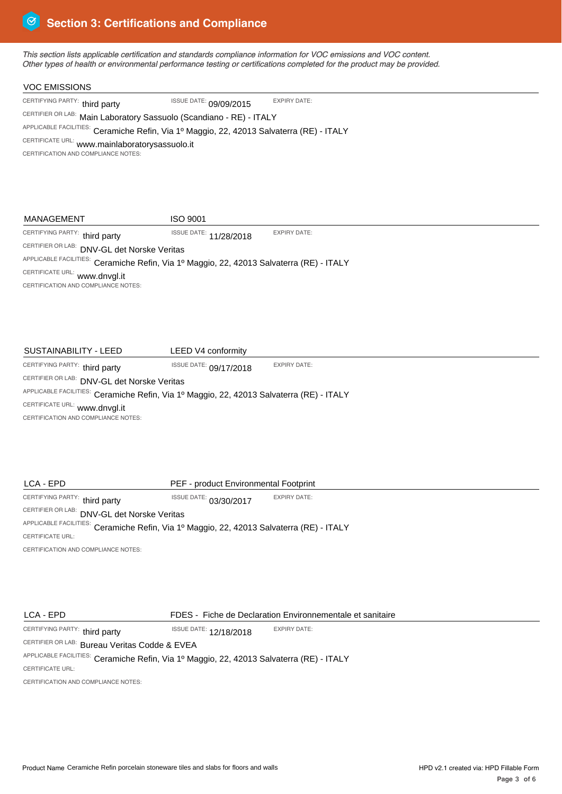*This section lists applicable certification and standards compliance information for VOC emissions and VOC content. Other types of health or environmental performance testing or certifications completed for the product may be provided.* 

| <b>VOC EMISSIONS</b>                                                                     |                               |                     |
|------------------------------------------------------------------------------------------|-------------------------------|---------------------|
| CERTIFYING PARTY: third party                                                            | <b>ISSUE DATE: 09/09/2015</b> | <b>EXPIRY DATE:</b> |
| CERTIFIER OR LAB: Main Laboratory Sassuolo (Scandiano - RE) - ITALY                      |                               |                     |
| APPLICABLE FACILITIES: Ceramiche Refin, Via 1º Maggio, 22, 42013 Salvaterra (RE) - ITALY |                               |                     |
| CERTIFICATE URL: www.mainlaboratorysassuolo.it                                           |                               |                     |
| CERTIFICATION AND COMPLIANCE NOTES:                                                      |                               |                     |
|                                                                                          |                               |                     |

# CERTIFYING PARTY: third party CERTIFIER OR LAB: DNV-GL det Norske Veritas <sup>APPLICABLE FACILITIES:</sup> Ceramiche Refin, Via 1º Maggio, 22, 42013 Salvaterra (RE) - ITALY CERTIFICATE URL: www.dnvgl.it CERTIFICATION AND COMPLIANCE NOTES: third party **third party of the SALL ISSUE DATE:** 11/28/2018 EXPIRY DATE: MANAGEMENT ISO 9001

| SUSTAINABILITY - LEED                                                                    | LEED V4 conformity            |                     |  |  |
|------------------------------------------------------------------------------------------|-------------------------------|---------------------|--|--|
| CERTIFYING PARTY: third party                                                            | <b>ISSUE DATE: 09/17/2018</b> | <b>EXPIRY DATE:</b> |  |  |
| CERTIFIER OR LAB: DNV-GL det Norske Veritas                                              |                               |                     |  |  |
| APPLICABLE FACILITIES: Ceramiche Refin, Via 1º Maggio, 22, 42013 Salvaterra (RE) - ITALY |                               |                     |  |  |
| CERTIFICATE URL: www.dnvgl.it                                                            |                               |                     |  |  |
| CERTIFICATION AND COMPLIANCE NOTES:                                                      |                               |                     |  |  |
|                                                                                          |                               |                     |  |  |

| LCA - EPD                                                                                | PEF - product Environmental Footprint |                     |  |  |
|------------------------------------------------------------------------------------------|---------------------------------------|---------------------|--|--|
| CERTIFYING PARTY: third party                                                            | <b>ISSUE DATE:</b> 03/30/2017         | <b>EXPIRY DATE:</b> |  |  |
| CERTIFIER OR LAB: DNV-GL det Norske Veritas                                              |                                       |                     |  |  |
| APPLICABLE FACILITIES: Ceramiche Refin, Via 1º Maggio, 22, 42013 Salvaterra (RE) - ITALY |                                       |                     |  |  |
| CERTIFICATE URL:                                                                         |                                       |                     |  |  |
| CERTIFICATION AND COMPLIANCE NOTES:                                                      |                                       |                     |  |  |

# LCA - EPD

CERTIFYING PARTY: third party

ISSUE DATE: 12/18/2018 EXPIRY DATE:

CERTIFIER OR LAB: Bureau Veritas Codde & EVEA

APPLICABLE FACILITIES: Ceramiche Refin, Via 1º Maggio, 22, 42013 Salvaterra (RE) - ITALY FDES - Fiche de Declaration Environnementale et sanitaire<br>
AB: Hureau Veritas Codde & EVEA<br>
CILITIES: Ceramiche Refin, Via 1º Maggio, 22, 42013 Salvaterra (RE) - ITALY<br>
RILI<br>
AND COMPLIANCE NOTES:<br>
AND COMPLIANCE NOTES:<br>
C

CERTIFICATE URL:

CERTIFICATION AND COMPLIANCE NOTES: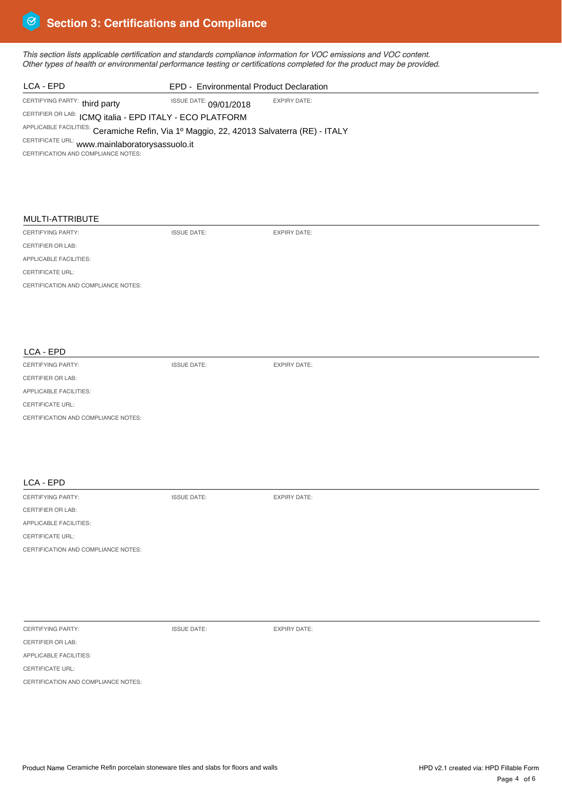*This section lists applicable certification and standards compliance information for VOC emissions and VOC content. Other types of health or environmental performance testing or certifications completed for the product may be provided.* 

ISSUE DATE: EXPIRY DATE:

ISSUE DATE: EXPIRY DATE:

ISSUE DATE: EXPIRY DATE:

| EPD - Environmental Product Declaration |                                                                                                                                                                                                                                  |
|-----------------------------------------|----------------------------------------------------------------------------------------------------------------------------------------------------------------------------------------------------------------------------------|
|                                         | <b>EXPIRY DATE:</b>                                                                                                                                                                                                              |
|                                         |                                                                                                                                                                                                                                  |
|                                         |                                                                                                                                                                                                                                  |
|                                         |                                                                                                                                                                                                                                  |
|                                         |                                                                                                                                                                                                                                  |
|                                         |                                                                                                                                                                                                                                  |
|                                         |                                                                                                                                                                                                                                  |
|                                         |                                                                                                                                                                                                                                  |
|                                         |                                                                                                                                                                                                                                  |
|                                         | ISSUE DATE: 09/01/2018<br>CERTIFIER OR LAB: ICMQ italia - EPD ITALY - ECO PLATFORM<br>APPLICABLE FACILITIES: Ceramiche Refin, Via 1º Maggio, 22, 42013 Salvaterra (RE) - ITALY<br>CERTIFICATE URL: www.mainlaboratorysassuolo.it |

# MULTI-ATTRIBUTE

CERTIFYING PARTY: CERTIFIER OR LAB:

APPLICABLE FACILITIES:

CERTIFICATE URL:

CERTIFICATION AND COMPLIANCE NOTES:

## LCA - EPD

CERTIFYING PARTY:

CERTIFIER OR LAB:

APPLICABLE FACILITIES:

CERTIFICATE URL:

CERTIFICATION AND COMPLIANCE NOTES:

# LCA - EPD

CERTIFYING PARTY:

CERTIFIER OR LAB:

APPLICABLE FACILITIES:

CERTIFICATE URL:

CERTIFICATION AND COMPLIANCE NOTES:

CERTIFYING PARTY: CERTIFIER OR LAB:

ISSUE DATE: EXPIRY DATE:

APPLICABLE FACILITIES: CERTIFICATE URL:

CERTIFICATION AND COMPLIANCE NOTES: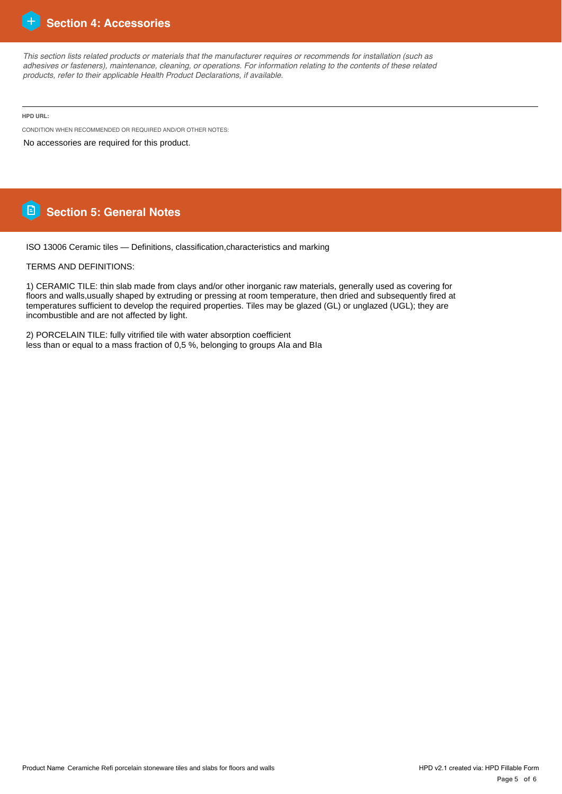

*This section lists related products or materials that the manufacturer requires or recommends for installation (such as adhesives or fasteners), maintenance, cleaning, or operations. For information relating to the contents of these related products, refer to their applicable Health Product Declarations, if available.*

**HPD URL:**

CONDITION WHEN RECOMMENDED OR REQUIRED AND/OR OTHER NOTES:

No accessories are required for this product.

# **Section 5: General Notes**

ISO 13006 Ceramic tiles — Definitions, classification,characteristics and marking

TERMS AND DEFINITIONS:

1) CERAMIC TILE: thin slab made from clays and/or other inorganic raw materials, generally used as covering for floors and walls,usually shaped by extruding or pressing at room temperature, then dried and subsequently fired at temperatures sufficient to develop the required properties. Tiles may be glazed (GL) or unglazed (UGL); they are incombustible and are not affected by light.

2) PORCELAIN TILE: fully vitrified tile with water absorption coefficient less than or equal to a mass fraction of 0,5 %, belonging to groups AIa and BIa